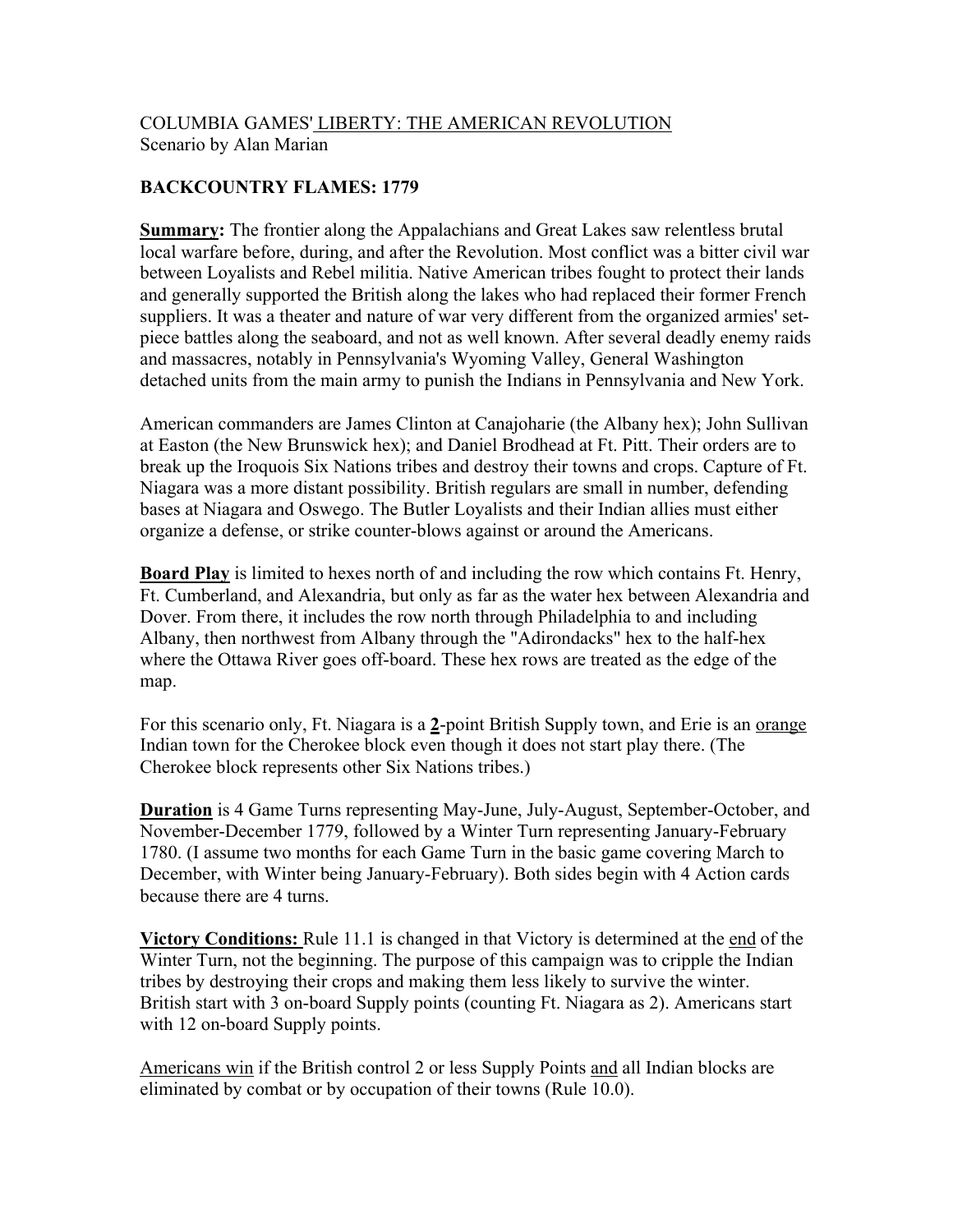## COLUMBIA GAMES' LIBERTY: THE AMERICAN REVOLUTION Scenario by Alan Marian

## **BACKCOUNTRY FLAMES: 1779**

**Summary:** The frontier along the Appalachians and Great Lakes saw relentless brutal local warfare before, during, and after the Revolution. Most conflict was a bitter civil war between Loyalists and Rebel militia. Native American tribes fought to protect their lands and generally supported the British along the lakes who had replaced their former French suppliers. It was a theater and nature of war very different from the organized armies' setpiece battles along the seaboard, and not as well known. After several deadly enemy raids and massacres, notably in Pennsylvania's Wyoming Valley, General Washington detached units from the main army to punish the Indians in Pennsylvania and New York.

American commanders are James Clinton at Canajoharie (the Albany hex); John Sullivan at Easton (the New Brunswick hex); and Daniel Brodhead at Ft. Pitt. Their orders are to break up the Iroquois Six Nations tribes and destroy their towns and crops. Capture of Ft. Niagara was a more distant possibility. British regulars are small in number, defending bases at Niagara and Oswego. The Butler Loyalists and their Indian allies must either organize a defense, or strike counter-blows against or around the Americans.

**Board Play** is limited to hexes north of and including the row which contains Ft. Henry, Ft. Cumberland, and Alexandria, but only as far as the water hex between Alexandria and Dover. From there, it includes the row north through Philadelphia to and including Albany, then northwest from Albany through the "Adirondacks" hex to the half-hex where the Ottawa River goes off-board. These hex rows are treated as the edge of the map.

For this scenario only, Ft. Niagara is a **2**-point British Supply town, and Erie is an orange Indian town for the Cherokee block even though it does not start play there. (The Cherokee block represents other Six Nations tribes.)

**Duration** is 4 Game Turns representing May-June, July-August, September-October, and November-December 1779, followed by a Winter Turn representing January-February 1780. (I assume two months for each Game Turn in the basic game covering March to December, with Winter being January-February). Both sides begin with 4 Action cards because there are 4 turns.

**Victory Conditions:** Rule 11.1 is changed in that Victory is determined at the end of the Winter Turn, not the beginning. The purpose of this campaign was to cripple the Indian tribes by destroying their crops and making them less likely to survive the winter. British start with 3 on-board Supply points (counting Ft. Niagara as 2). Americans start with 12 on-board Supply points.

Americans win if the British control 2 or less Supply Points and all Indian blocks are eliminated by combat or by occupation of their towns (Rule 10.0).